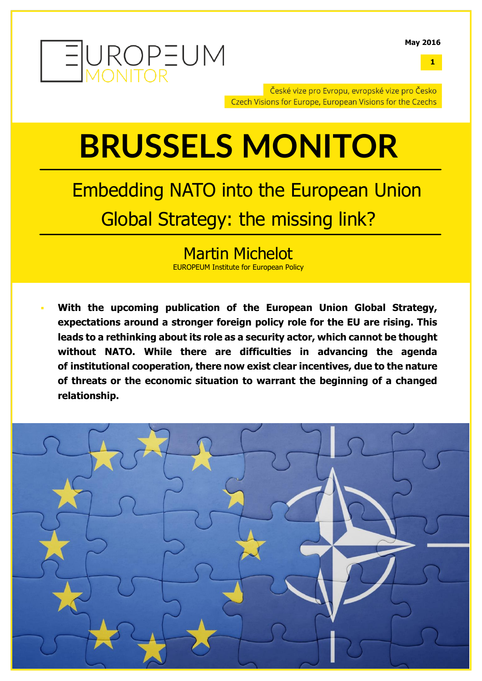

**1**

České vize pro Evropu, evropské vize pro Česko Czech Visions for Europe, European Visions for the Czechs

### **BRUSSELS MONITOR**

### Embedding NATO into the European Union Global Strategy: the missing link?

### Martin Michelot EUROPEUM Institute for European Policy

 **With the upcoming publication of the European Union Global Strategy, expectations around a stronger foreign policy role for the EU are rising. This leads to a rethinking about its role as a security actor, which cannot be thought without NATO. While there are difficulties in advancing the agenda of institutional cooperation, there now exist clear incentives, due to the nature of threats or the economic situation to warrant the beginning of a changed relationship.**

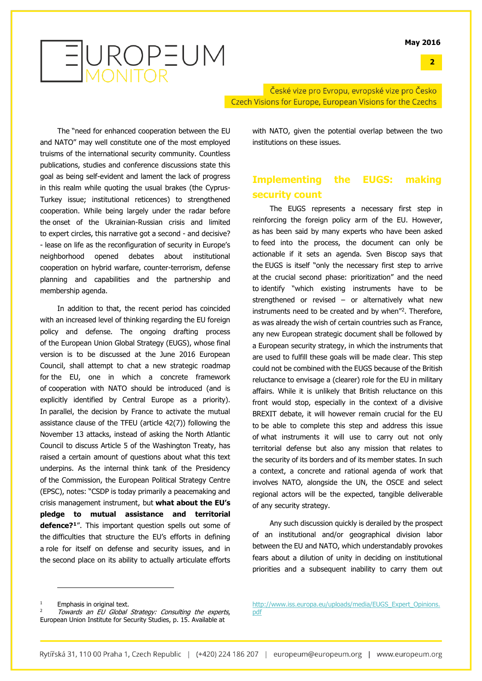

České vize pro Evropu, evropské vize pro Česko Czech Visions for Europe, European Visions for the Czechs

The "need for enhanced cooperation between the EU and NATO" may well constitute one of the most employed truisms of the international security community. Countless publications, studies and conference discussions state this goal as being self-evident and lament the lack of progress in this realm while quoting the usual brakes (the Cyprus-Turkey issue; institutional reticences) to strengthened cooperation. While being largely under the radar before the onset of the Ukrainian-Russian crisis and limited to expert circles, this narrative got a second - and decisive? - lease on life as the reconfiguration of security in Europe's neighborhood opened debates about institutional cooperation on hybrid warfare, counter-terrorism, defense planning and capabilities and the partnership and membership agenda.

In addition to that, the recent period has coincided with an increased level of thinking regarding the EU foreign policy and defense. The ongoing drafting process of the European Union Global Strategy (EUGS), whose final version is to be discussed at the June 2016 European Council, shall attempt to chat a new strategic roadmap for the EU, one in which a concrete framework of cooperation with NATO should be introduced (and is explicitly identified by Central Europe as a priority). In parallel, the decision by France to activate the mutual assistance clause of the TFEU (article 42(7)) following the November 13 attacks, instead of asking the North Atlantic Council to discuss Article 5 of the Washington Treaty, has raised a certain amount of questions about what this text underpins. As the internal think tank of the Presidency of the Commission, the European Political Strategy Centre (EPSC), notes: "CSDP is today primarily a peacemaking and crisis management instrument, but **what about the EU's pledge to mutual assistance and territorial defence?<sup>1</sup>** ". This important question spells out some of the difficulties that structure the EU's efforts in defining a role for itself on defense and security issues, and in the second place on its ability to actually articulate efforts

with NATO, given the potential overlap between the two institutions on these issues.

### **Implementing the EUGS: making security count**

The EUGS represents a necessary first step in reinforcing the foreign policy arm of the EU. However, as has been said by many experts who have been asked to feed into the process, the document can only be actionable if it sets an agenda. Sven Biscop says that the EUGS is itself "only the necessary first step to arrive at the crucial second phase: prioritization" and the need to identify "which existing instruments have to be strengthened or revised – or alternatively what new instruments need to be created and by when"<sup>2</sup> . Therefore, as was already the wish of certain countries such as France, any new European strategic document shall be followed by a European security strategy, in which the instruments that are used to fulfill these goals will be made clear. This step could not be combined with the EUGS because of the British reluctance to envisage a (clearer) role for the EU in military affairs. While it is unlikely that British reluctance on this front would stop, especially in the context of a divisive BREXIT debate, it will however remain crucial for the EU to be able to complete this step and address this issue of what instruments it will use to carry out not only territorial defense but also any mission that relates to the security of its borders and of its member states. In such a context, a concrete and rational agenda of work that involves NATO, alongside the UN, the OSCE and select regional actors will be the expected, tangible deliverable of any security strategy.

Any such discussion quickly is derailed by the prospect of an institutional and/or geographical division labor between the EU and NATO, which understandably provokes fears about a dilution of unity in deciding on institutional priorities and a subsequent inability to carry them out

j

Emphasis in original text.

Towards an EU Global Strategy: Consulting the experts, European Union Institute for Security Studies, p. 15. Available at

[http://www.iss.europa.eu/uploads/media/EUGS\\_Expert\\_Opinions.](http://www.iss.europa.eu/uploads/media/EUGS_Expert_Opinions.pdf) [pdf](http://www.iss.europa.eu/uploads/media/EUGS_Expert_Opinions.pdf)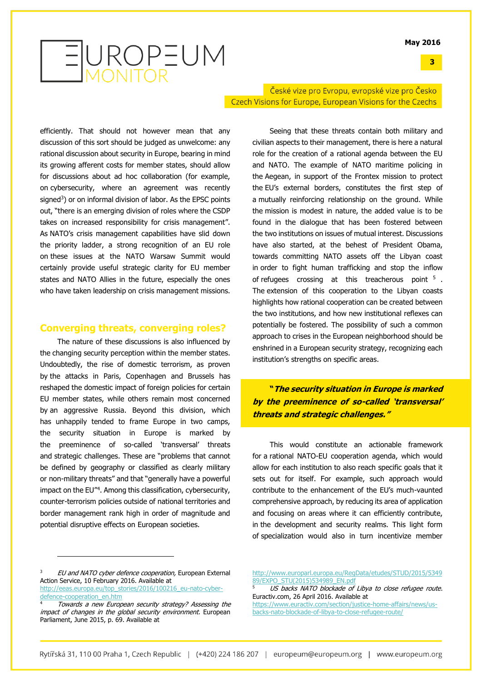**3**

### EUROPEUM

České vize pro Evropu, evropské vize pro Česko Czech Visions for Europe, European Visions for the Czechs

efficiently. That should not however mean that any discussion of this sort should be judged as unwelcome: any rational discussion about security in Europe, bearing in mind its growing afferent costs for member states, should allow for discussions about ad hoc collaboration (for example, on cybersecurity, where an agreement was recently signed<sup>3</sup>) or on informal division of labor. As the EPSC points out, "there is an emerging division of roles where the CSDP takes on increased responsibility for crisis management". As NATO's crisis management capabilities have slid down the priority ladder, a strong recognition of an EU role on these issues at the NATO Warsaw Summit would certainly provide useful strategic clarity for EU member states and NATO Allies in the future, especially the ones who have taken leadership on crisis management missions.

### **Converging threats, converging roles?**

The nature of these discussions is also influenced by the changing security perception within the member states. Undoubtedly, the rise of domestic terrorism, as proven by the attacks in Paris, Copenhagen and Brussels has reshaped the domestic impact of foreign policies for certain EU member states, while others remain most concerned by an aggressive Russia. Beyond this division, which has unhappily tended to frame Europe in two camps, the security situation in Europe is marked by the preeminence of so-called 'transversal' threats and strategic challenges. These are "problems that cannot be defined by geography or classified as clearly military or non-military threats" and that "generally have a powerful impact on the EU" 4 . Among this classification, cybersecurity, counter-terrorism policies outside of national territories and border management rank high in order of magnitude and potential disruptive effects on European societies.

Seeing that these threats contain both military and civilian aspects to their management, there is here a natural role for the creation of a rational agenda between the EU and NATO. The example of NATO maritime policing in the Aegean, in support of the Frontex mission to protect the EU's external borders, constitutes the first step of a mutually reinforcing relationship on the ground. While the mission is modest in nature, the added value is to be found in the dialogue that has been fostered between the two institutions on issues of mutual interest. Discussions have also started, at the behest of President Obama, towards committing NATO assets off the Libyan coast in order to fight human trafficking and stop the inflow of refugees crossing at this treacherous point <sup>5</sup>. The extension of this cooperation to the Libyan coasts highlights how rational cooperation can be created between the two institutions, and how new institutional reflexes can potentially be fostered. The possibility of such a common approach to crises in the European neighborhood should be enshrined in a European security strategy, recognizing each institution's strengths on specific areas.

**"The security situation in Europe is marked by the preeminence of so-called 'transversal' threats and strategic challenges."**

This would constitute an actionable framework for a rational NATO-EU cooperation agenda, which would allow for each institution to also reach specific goals that it sets out for itself. For example, such approach would contribute to the enhancement of the EU's much-vaunted comprehensive approach, by reducing its area of application and focusing on areas where it can efficiently contribute, in the development and security realms. This light form of specialization would also in turn incentivize member

j

[http://www.europarl.europa.eu/RegData/etudes/STUD/2015/5349](http://www.europarl.europa.eu/RegData/etudes/STUD/2015/534989/EXPO_STU(2015)534989_EN.pdf) [89/EXPO\\_STU\(2015\)534989\\_EN.pdf](http://www.europarl.europa.eu/RegData/etudes/STUD/2015/534989/EXPO_STU(2015)534989_EN.pdf)

EU and NATO cyber defence cooperation, European External Action Service, 10 February 2016. Available at [http://eeas.europa.eu/top\\_stories/2016/100216\\_eu-nato-cyber-](http://eeas.europa.eu/top_stories/2016/100216_eu-nato-cyber-defence-cooperation_en.htm)

[defence-cooperation\\_en.htm](http://eeas.europa.eu/top_stories/2016/100216_eu-nato-cyber-defence-cooperation_en.htm)

Towards a new European security strategy? Assessing the impact of changes in the global security environment. European Parliament, June 2015, p. 69. Available at

US backs NATO blockade of Libya to close refugee route. Euractiv.com, 26 April 2016. Available at

[https://www.euractiv.com/section/justice-home-affairs/news/us](https://www.euractiv.com/section/justice-home-affairs/news/us-backs-nato-blockade-of-libya-to-close-refugee-route/)[backs-nato-blockade-of-libya-to-close-refugee-route/](https://www.euractiv.com/section/justice-home-affairs/news/us-backs-nato-blockade-of-libya-to-close-refugee-route/)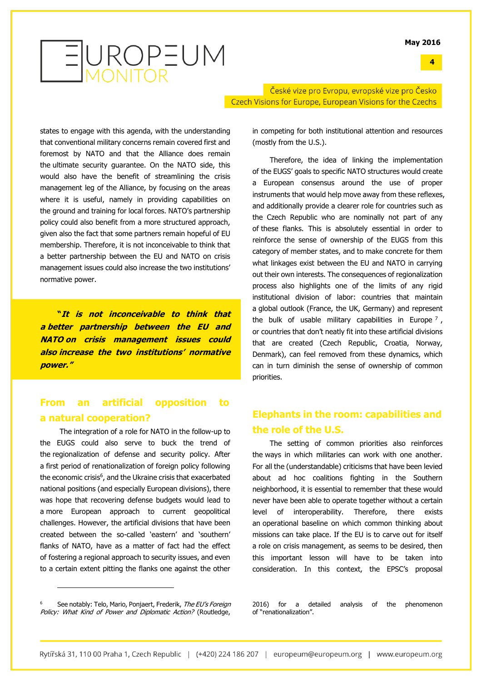#### **4**

# EUROPEUM

České vize pro Evropu, evropské vize pro Česko Czech Visions for Europe, European Visions for the Czechs

states to engage with this agenda, with the understanding that conventional military concerns remain covered first and foremost by NATO and that the Alliance does remain the ultimate security guarantee. On the NATO side, this would also have the benefit of streamlining the crisis management leg of the Alliance, by focusing on the areas where it is useful, namely in providing capabilities on the ground and training for local forces. NATO's partnership policy could also benefit from a more structured approach, given also the fact that some partners remain hopeful of EU membership. Therefore, it is not inconceivable to think that a better partnership between the EU and NATO on crisis management issues could also increase the two institutions' normative power.

**"It is not inconceivable to think that <sup>a</sup> better partnership between the EU and NATO on crisis management issues could also increase the two institutions' normative power."**

### **From an artificial opposition to a natural cooperation?**

The integration of a role for NATO in the follow-up to the EUGS could also serve to buck the trend of the regionalization of defense and security policy. After a first period of renationalization of foreign policy following the economic crisis<sup>6</sup>, and the Ukraine crisis that exacerbated national positions (and especially European divisions), there was hope that recovering defense budgets would lead to a more European approach to current geopolitical challenges. However, the artificial divisions that have been created between the so-called 'eastern' and 'southern' flanks of NATO, have as a matter of fact had the effect of fostering a regional approach to security issues, and even to a certain extent pitting the flanks one against the other

j

in competing for both institutional attention and resources (mostly from the U.S.).

Therefore, the idea of linking the implementation of the EUGS' goals to specific NATO structures would create a European consensus around the use of proper instruments that would help move away from these reflexes, and additionally provide a clearer role for countries such as the Czech Republic who are nominally not part of any of these flanks. This is absolutely essential in order to reinforce the sense of ownership of the EUGS from this category of member states, and to make concrete for them what linkages exist between the EU and NATO in carrying out their own interests. The consequences of regionalization process also highlights one of the limits of any rigid institutional division of labor: countries that maintain a global outlook (France, the UK, Germany) and represent the bulk of usable military capabilities in Europe<sup>7</sup>, or countries that don't neatly fit into these artificial divisions that are created (Czech Republic, Croatia, Norway, Denmark), can feel removed from these dynamics, which can in turn diminish the sense of ownership of common priorities.

### **Elephants in the room: capabilities and the role of the U.S.**

The setting of common priorities also reinforces the ways in which militaries can work with one another. For all the (understandable) criticisms that have been levied about ad hoc coalitions fighting in the Southern neighborhood, it is essential to remember that these would never have been able to operate together without a certain level of interoperability. Therefore, there exists an operational baseline on which common thinking about missions can take place. If the EU is to carve out for itself a role on crisis management, as seems to be desired, then this important lesson will have to be taken into consideration. In this context, the EPSC's proposal

2016) for a detailed analysis of the phenomenon of "renationalization".

See notably: Telo, Mario, Ponjaert, Frederik, The EU's Foreign Policy: What Kind of Power and Diplomatic Action? (Routledge,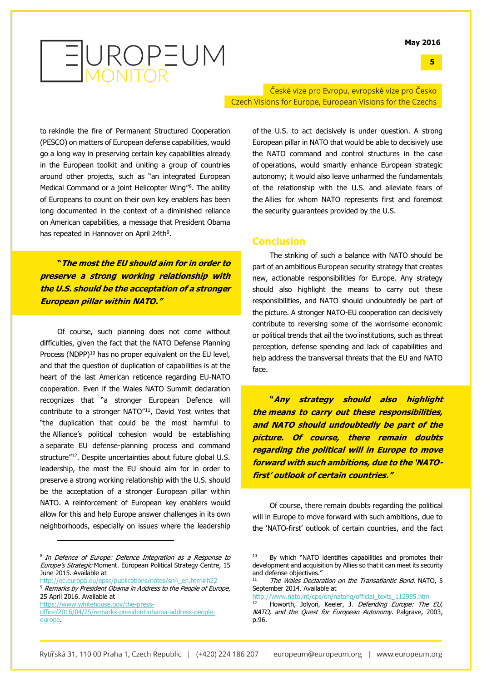#### **5**



České vize pro Evropu, evropské vize pro Česko Czech Visions for Europe, European Visions for the Czechs

to rekindle the fire of Permanent Structured Cooperation (PESCO) on matters of European defense capabilities, would go a long way in preserving certain key capabilities already in the European toolkit and uniting a group of countries around other projects, such as "an integrated European Medical Command or a joint Helicopter Wing"<sup>8</sup>. The ability of Europeans to count on their own key enablers has been long documented in the context of a diminished reliance on American capabilities, a message that President Obama has repeated in Hannover on April 24th<sup>9</sup>.

**"The most the EU should aim for in order to preserve a strong working relationship with the U.S. should be the acceptation of a stronger European pillar within NATO."**

Of course, such planning does not come without difficulties, given the fact that the NATO Defense Planning Process (NDPP)<sup>10</sup> has no proper equivalent on the EU level, and that the question of duplication of capabilities is at the heart of the last American reticence regarding EU-NATO cooperation. Even if the Wales NATO Summit declaration recognizes that "a stronger European Defence will contribute to a stronger NATO"<sup>11</sup>, David Yost writes that "the duplication that could be the most harmful to the Alliance's political cohesion would be establishing a separate EU defense-planning process and command structure"<sup>12</sup>. Despite uncertainties about future global U.S. leadership, the most the EU should aim for in order to preserve a strong working relationship with the U.S. should be the acceptation of a stronger European pillar within NATO. A reinforcement of European key enablers would allow for this and help Europe answer challenges in its own neighborhoods, especially on issues where the leadership

8 In Defence of Europe: Defence Integration as a Response to Europe's Strategic Moment. European Political Strategy Centre, 15 June 2015. Available at

j

[http://ec.europa.eu/epsc/publications/notes/sn4\\_en.htm#h22](http://ec.europa.eu/epsc/publications/notes/sn4_en.htm#h22)

<sup>9</sup> Remarks by President Obama in Address to the People of Europe, 25 April 2016. Available at

[https://www.whitehouse.gov/the-press](https://www.whitehouse.gov/the-press-office/2016/04/25/remarks-president-obama-address-people-europe)[office/2016/04/25/remarks-president-obama-address-people](https://www.whitehouse.gov/the-press-office/2016/04/25/remarks-president-obama-address-people-europe)[europe.](https://www.whitehouse.gov/the-press-office/2016/04/25/remarks-president-obama-address-people-europe)

of the U.S. to act decisively is under question. A strong European pillar in NATO that would be able to decisively use the NATO command and control structures in the case of operations, would smartly enhance European strategic autonomy; it would also leave unharmed the fundamentals of the relationship with the U.S. and alleviate fears of the Allies for whom NATO represents first and foremost the security guarantees provided by the U.S.

#### **Conclusion**

The striking of such a balance with NATO should be part of an ambitious European security strategy that creates new, actionable responsibilities for Europe. Any strategy should also highlight the means to carry out these responsibilities, and NATO should undoubtedly be part of the picture. A stronger NATO-EU cooperation can decisively contribute to reversing some of the worrisome economic or political trends that ail the two institutions, such as threat perception, defense spending and lack of capabilities and help address the transversal threats that the EU and NATO face.

**"Any strategy should also highlight the means to carry out these responsibilities, and NATO should undoubtedly be part of the picture. Of course, there remain doubts regarding the political will in Europe to move forward with such ambitions, due to the 'NATOfirst' outlook of certain countries."**

Of course, there remain doubts regarding the political will in Europe to move forward with such ambitions, due to the 'NATO-first' outlook of certain countries, and the fact

[http://www.nato.int/cps/on/natohq/official\\_texts\\_112985.htm](http://www.nato.int/cps/on/natohq/official_texts_112985.htm)

<sup>&</sup>lt;sup>10</sup> By which "NATO identifies capabilities and promotes their development and acquisition by Allies so that it can meet its security and defense objectives."

The Wales Declaration on the Transatlantic Bond. NATO, 5 September 2014. Available at

Howorth, Jolyon, Keeler, J. Defending Europe: The EU, NATO, and the Quest for European Autonomy. Palgrave, 2003, p.96.